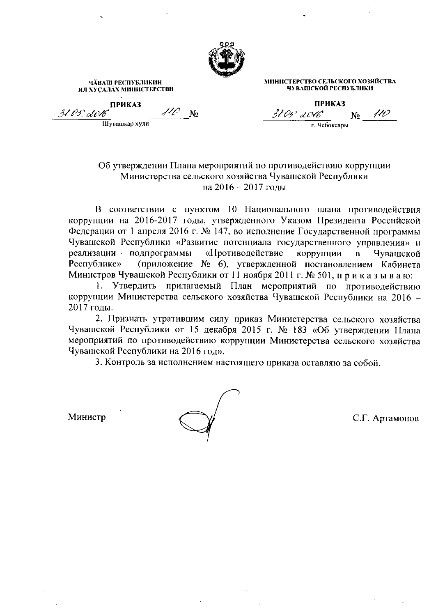

ЧАВАШ РЕСПУБЛИКИН ЯЛ ХУСАЛАХ МИНИСТЕРСТВИ **ПРИКАЗ** 110 31. V 5. LOV6 N<sub>o</sub> ————————————————————<br>Шупашкар хули

**ПРИКАЗ** 110 31.05? LO16°  $N_2$ г. Чебоксары

МИНИСТЕРСТВО СЕЛЬСКОГО ХОЗЯЙСТВА

ЧУВАШСКОЙ РЕСПУБЛИКИ

## Об утверждении Плана мероприятий по противодействию коррупции Министерства сельского хозяйства Чувашской Республики на 2016 - 2017 годы

В соответствии с пунктом 10 Национального плана противодействия коррупции на 2016-2017 годы, утвержденного Указом Президента Российской Федерации от 1 апреля 2016 г. № 147, во исполнение Государственной программы Чувашской Республики «Развитие потенциала государственного управления» и реализации и подпрограммы «Противодействие коррупции  $B$ Чувашской (приложение № 6), утвержденной постановлением Кабинета Республике» Министров Чувашской Республики от 11 ноября 2011 г. № 501, и р и к а з ы в а ю:

1. Утвердить прилагаемый План мероприятий по противодействию коррупции Министерства сельского хозяйства Чувашской Республики на 2016 -2017 годы.

2. Признать утратившим силу приказ Министерства сельского хозяйства Чувашской Республики от 15 декабря 2015 г. № 183 «Об утверждении Плана мероприятий по противодействию коррунции Министерства сельского хозяйства Чувашской Республики на 2016 год».

3. Контроль за исполнением настоящего приказа оставляю за собой.

Министр

С.Г. Артамонов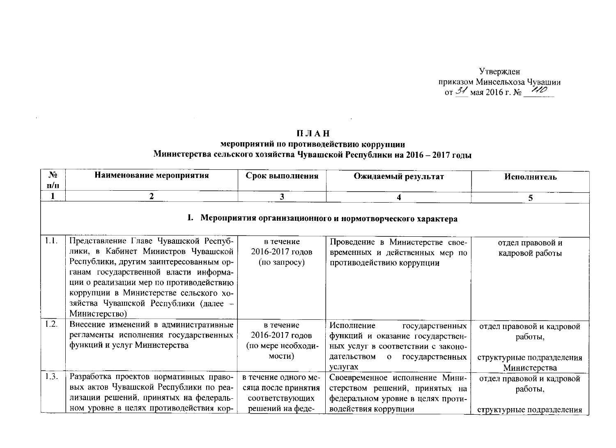Утвержден приказом Минсельхоза Чувашии<br>or  $\frac{31}{24}$ мая 2016 г. № 410

## ПЛАН

 $\tilde{A}$ 

## мероприятий по противодействию коррупции<br>Министерства сельского хозяйства Чувашской Республики на 2016 – 2017 годы

 $\sim$ 

| $N_2$ | Наименование мероприятия                                                                                                                                                                                                                                                                                        | Срок выполнения                                                                    | Ожидаемый результат                                                                                                                                                  | Исполнитель                                                                       |
|-------|-----------------------------------------------------------------------------------------------------------------------------------------------------------------------------------------------------------------------------------------------------------------------------------------------------------------|------------------------------------------------------------------------------------|----------------------------------------------------------------------------------------------------------------------------------------------------------------------|-----------------------------------------------------------------------------------|
| n/n   | 2                                                                                                                                                                                                                                                                                                               | 3                                                                                  |                                                                                                                                                                      |                                                                                   |
|       |                                                                                                                                                                                                                                                                                                                 |                                                                                    | 4<br>1. Мероприятия организационного и нормотворческого характера                                                                                                    | 5                                                                                 |
| 1.1.  | Представление Главе Чувашской Респуб-<br>лики, в Кабинет Министров Чувашской<br>Республики, другим заинтересованным ор-<br>ганам государственной власти информа-<br>ции о реализации мер по противодействию<br>коррупции в Министерстве сельского хо-<br>зяйства Чувашской Республики (далее -<br>Министерство) | в течение<br>2016-2017 годов<br>(по запросу)                                       | Проведение в Министерстве свое-<br>временных и действенных мер по<br>противодействию коррупции                                                                       | отдел правовой и<br>кадровой работы                                               |
| 1.2.  | Внесение изменений в административные<br>регламенты исполнения государственных<br>функций и услуг Министерства                                                                                                                                                                                                  | в течение<br>2016-2017 годов<br>(по мере необходи-<br>мости)                       | Исполнение<br>государственных<br>функций и оказание государствен-<br>ных услуг в соответствии с законо-<br>дательством<br>$\mathbf{o}$<br>государственных<br>услугах | отдел правовой и кадровой<br>работы,<br>структурные подразделения<br>Министерства |
| 1.3.  | Разработка проектов нормативных право-<br>вых актов Чувашской Республики по реа-<br>лизации решений, принятых на федераль-<br>ном уровне в целях противодействия кор-                                                                                                                                           | в течение одного ме-<br>сяца после принятия<br>соответствующих<br>решений на феде- | Своевременное исполнение Мини-<br>стерством решений, принятых на<br>федеральном уровне в целях проти-<br>водействия коррупции                                        | отдел правовой и кадровой<br>работы,<br>структурные подразделения                 |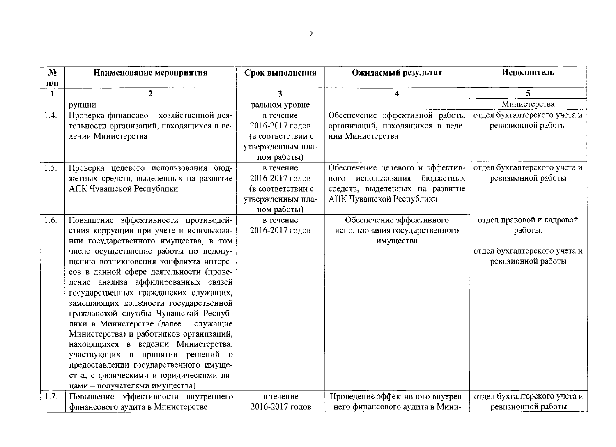| ۰,<br>× |
|---------|
|         |
|         |

 $\mathcal{A}(\mathcal{A})$  and  $\mathcal{A}(\mathcal{A})$ 

| $\mathbf{N}_2$ | Наименование мероприятия                                                                                                                                                                                                                                                                                                                                                                                                                                                                                                                                                                                                                                                                                  | Срок выполнения                                                                       | Ожидаемый результат                                                                                                                   | Исполнитель                                                                                |
|----------------|-----------------------------------------------------------------------------------------------------------------------------------------------------------------------------------------------------------------------------------------------------------------------------------------------------------------------------------------------------------------------------------------------------------------------------------------------------------------------------------------------------------------------------------------------------------------------------------------------------------------------------------------------------------------------------------------------------------|---------------------------------------------------------------------------------------|---------------------------------------------------------------------------------------------------------------------------------------|--------------------------------------------------------------------------------------------|
| $\Pi/\Pi$      |                                                                                                                                                                                                                                                                                                                                                                                                                                                                                                                                                                                                                                                                                                           |                                                                                       |                                                                                                                                       |                                                                                            |
|                | $\mathbf{2}$                                                                                                                                                                                                                                                                                                                                                                                                                                                                                                                                                                                                                                                                                              | 3                                                                                     | $\boldsymbol{4}$                                                                                                                      | 5                                                                                          |
|                | рупции                                                                                                                                                                                                                                                                                                                                                                                                                                                                                                                                                                                                                                                                                                    | ральном уровне                                                                        |                                                                                                                                       | Министерства                                                                               |
| 1.4.           | Проверка финансово - хозяйственной дея-<br>тельности организаций, находящихся в ве-<br>дении Министерства                                                                                                                                                                                                                                                                                                                                                                                                                                                                                                                                                                                                 | в течение<br>2016-2017 годов<br>(в соответствии с<br>утвержденным пла-<br>ном работы) | Обеспечение эффективной работы<br>организаций, находящихся в веде-<br>нии Министерства                                                | отдел бухгалтерского учета и<br>ревизионной работы                                         |
| 1.5.           | Проверка целевого использования<br>бюд-<br>жетных средств, выделенных на развитие<br>АПК Чувашской Республики                                                                                                                                                                                                                                                                                                                                                                                                                                                                                                                                                                                             | в течение<br>2016-2017 годов<br>(в соответствии с<br>утвержденным пла-<br>ном работы) | Обеспечение целевого и эффектив-<br>бюджетных<br>использования<br>ного<br>средств, выделенных на развитие<br>АПК Чувашской Республики | отдел бухгалтерского учета и<br>ревизионной работы                                         |
| 1.6.           | Повышение эффективности противодей-<br>ствия коррупции при учете и использова-<br>нии государственного имущества, в том<br>числе осуществление работы по недопу-<br>щению возникновения конфликта интере-<br>сов в данной сфере деятельности (прове-<br>дение анализа аффилированных связей<br>государственных гражданских служащих,<br>замещающих должности государственной<br>гражданской службы Чувашской Респуб-<br>лики в Министерстве (далее - служащие<br>Министерства) и работников организаций,<br>находящихся в ведении Министерства,<br>участвующих в принятии решений о<br>предоставлении государственного имуще-<br>ства, с физическими и юридическими ли-<br>цами - получателями имущества) | в течение<br>2016-2017 годов                                                          | Обеспечение эффективного<br>использования государственного<br>имущества                                                               | отдел правовой и кадровой<br>работы,<br>отдел бухгалтерского учета и<br>ревизионной работы |
| 1.7.           | Повышение эффективности внутреннего<br>финансового аудита в Министерстве                                                                                                                                                                                                                                                                                                                                                                                                                                                                                                                                                                                                                                  | в течение<br>2016-2017 годов                                                          | Проведение эффективного внутрен-<br>него финансового аудита в Мини-                                                                   | отдел бухгалтерского учета и<br>ревизионной работы                                         |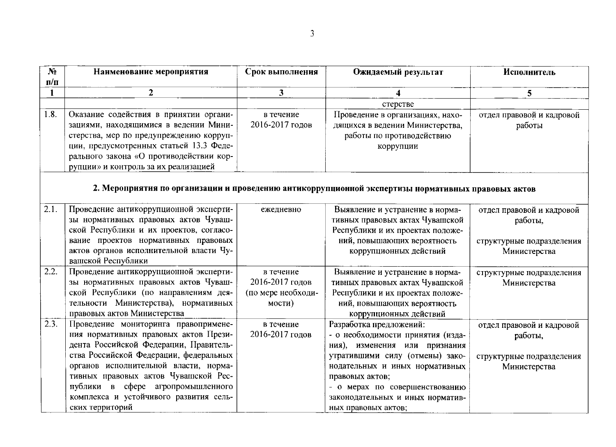| N <sub>2</sub>          | Наименование мероприятия                | Срок выполнения         | Ожидаемый результат                                                                                | Исполнитель               |
|-------------------------|-----------------------------------------|-------------------------|----------------------------------------------------------------------------------------------------|---------------------------|
| $\mathbf{n}/\mathbf{n}$ |                                         |                         |                                                                                                    |                           |
|                         | $\mathbf{2}$                            | $\overline{\mathbf{3}}$ |                                                                                                    | 5                         |
|                         |                                         |                         | стерстве                                                                                           |                           |
| 1.8.                    | Оказание содействия в принятии органи-  | в течение               | Проведение в организациях, нахо-                                                                   | отдел правовой и кадровой |
|                         | зациями, находящимися в ведении Мини-   | 2016-2017 годов         | дящихся в ведении Министерства,                                                                    | работы                    |
|                         | стерства, мер по предупреждению корруп- |                         | работы по противодействию                                                                          |                           |
|                         | ции, предусмотренных статьей 13.3 Феде- |                         | коррупции                                                                                          |                           |
|                         | рального закона «О противодействии кор- |                         |                                                                                                    |                           |
|                         | рупции» и контроль за их реализацией    |                         |                                                                                                    |                           |
|                         |                                         |                         | 2. Мероприятия по организации и проведению антикоррупционной экспертизы нормативных правовых актов |                           |
|                         |                                         |                         |                                                                                                    |                           |
| 2.1.                    | Проведение антикоррупционной эксперти-  | ежедневно               | Выявление и устранение в норма-                                                                    | отдел правовой и кадровой |
|                         | зы нормативных правовых актов Чуваш-    |                         | тивных правовых актах Чувашской                                                                    | работы,                   |
|                         | ской Республики и их проектов, согласо- |                         | Республики и их проектах положе-                                                                   |                           |
|                         | вание проектов нормативных правовых     |                         | ний, повышающих вероятность                                                                        | структурные подразделения |
|                         | актов органов исполнительной власти Чу- |                         | коррупционных действий                                                                             | Министерства              |
|                         | вашской Республики                      |                         |                                                                                                    |                           |
| 2.2.                    | Проведение антикоррупционной эксперти-  | в течение               | Выявление и устранение в норма-                                                                    | структурные подразделения |
|                         | зы нормативных правовых актов Чуваш-    | 2016-2017 годов         | тивных правовых актах Чувашской                                                                    | Министерства              |
|                         | ской Республики (по направлениям дея-   | (по мере необходи-      | Республики и их проектах положе-                                                                   |                           |
|                         | тельности Министерства), нормативных    | мости)                  | ний, повышающих вероятность                                                                        |                           |
|                         | правовых актов Министерства             |                         | коррупционных действий                                                                             |                           |
| 2.3.                    | Проведение мониторинга правопримене-    | в течение               | Разработка предложений:                                                                            | отдел правовой и кадровой |
|                         | ния нормативных правовых актов Прези-   | 2016-2017 годов         | - о необходимости принятия (изда-                                                                  | работы,                   |
|                         | дента Российской Федерации, Правитель-  |                         | ния),<br>изменения или признания                                                                   |                           |
|                         | ства Российской Федерации, федеральных  |                         | утратившими силу (отмены) зако-                                                                    | структурные подразделения |
|                         | органов исполнительной власти, норма-   |                         | нодательных и иных нормативных                                                                     | Министерства              |
|                         | тивных правовых актов Чувашской Рес-    |                         | правовых актов;                                                                                    |                           |
|                         | публики в сфере агропромышленного       |                         | - о мерах по совершенствованию                                                                     |                           |
|                         | комплекса и устойчивого развития сель-  |                         | законодательных и иных норматив-                                                                   |                           |
|                         | ских территорий                         |                         | ных правовых актов;                                                                                |                           |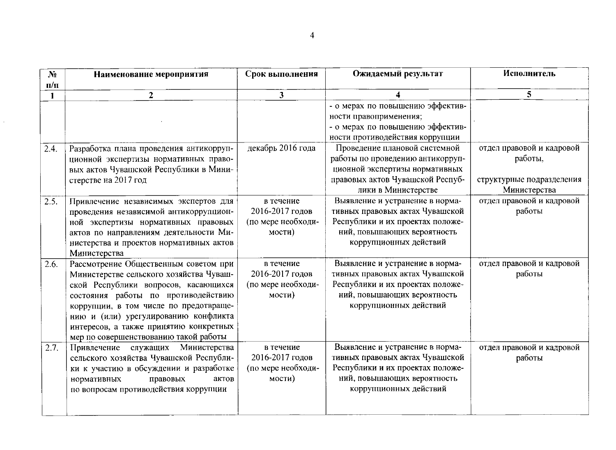| $N_2$     | Наименование мероприятия                | Срок выполнения         | Ожидаемый результат              | Исполнитель               |
|-----------|-----------------------------------------|-------------------------|----------------------------------|---------------------------|
| $\Pi/\Pi$ |                                         |                         |                                  |                           |
|           | $\mathbf{2}$                            | $\overline{\mathbf{3}}$ |                                  | 5                         |
|           |                                         |                         | - о мерах по повышению эффектив- |                           |
|           |                                         |                         | ности правоприменения;           |                           |
|           |                                         |                         | - о мерах по повышению эффектив- |                           |
|           |                                         |                         | ности противодействия коррупции  |                           |
| 2.4.      | Разработка плана проведения антикорруп- | декабрь 2016 года       | Проведение плановой системной    | отдел правовой и кадровой |
|           | ционной экспертизы нормативных право-   |                         | работы по проведению антикорруп- | работы,                   |
|           | вых актов Чувашской Республики в Мини-  |                         | ционной экспертизы нормативных   |                           |
|           | стерстве на 2017 год                    |                         | правовых актов Чувашской Респуб- | структурные подразделения |
|           |                                         |                         | лики в Министерстве              | Министерства              |
| 2.5.      | Привлечение независимых экспертов для   | в течение               | Выявление и устранение в норма-  | отдел правовой и кадровой |
|           | проведения независимой антикоррупцион-  | 2016-2017 годов         | тивных правовых актах Чувашской  | работы                    |
|           | ной экспертизы нормативных правовых     | (по мере необходи-      | Республики и их проектах положе- |                           |
|           | актов по направлениям деятельности Ми-  | мости)                  | ний, повышающих вероятность      |                           |
|           | нистерства и проектов нормативных актов |                         | коррупционных действий           |                           |
|           | Министерства                            |                         |                                  |                           |
| 2.6.      | Рассмотрение Общественным советом при   | в течение               | Выявление и устранение в норма-  | отдел правовой и кадровой |
|           | Министерстве сельского хозяйства Чуваш- | 2016-2017 годов         | тивных правовых актах Чувашской  | работы                    |
|           | ской Республики вопросов, касающихся    | (по мере необходи-      | Республики и их проектах положе- |                           |
|           | состояния работы по противодействию     | мости)                  | ний, повышающих вероятность      |                           |
|           | коррупции, в том числе по предотвраще-  |                         | коррупционных действий           |                           |
|           | нию и (или) урегулированию конфликта    |                         |                                  |                           |
|           | интересов, а также принятию конкретных  |                         |                                  |                           |
|           | мер по совершенствованию такой работы   |                         |                                  |                           |
| 2.7.      | Министерства<br>Привлечение служащих    | в течение               | Выявление и устранение в норма-  | отдел правовой и кадровой |
|           | сельского хозяйства Чувашской Республи- | 2016-2017 годов         | тивных правовых актах Чувашской  | работы                    |
|           | ки к участию в обсуждении и разработке  | (по мере необходи-      | Республики и их проектах положе- |                           |
|           | нормативных<br>правовых<br>актов        | мости)                  | ний, повышающих вероятность      |                           |
|           | по вопросам противодействия коррупции   |                         | коррупционных действий           |                           |
|           |                                         |                         |                                  |                           |
|           |                                         |                         |                                  |                           |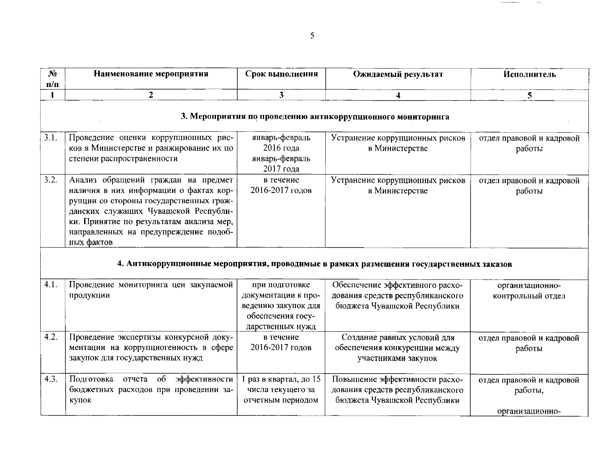| N <sub>2</sub><br>$\Pi/\Pi$ | Наименование мероприятия                                                                                                                                                                                                                                            | Срок выполнения                                                                                       | Ожидаемый результат                                                                                 | Исполнитель                                             |  |  |
|-----------------------------|---------------------------------------------------------------------------------------------------------------------------------------------------------------------------------------------------------------------------------------------------------------------|-------------------------------------------------------------------------------------------------------|-----------------------------------------------------------------------------------------------------|---------------------------------------------------------|--|--|
|                             | $\overline{2}$                                                                                                                                                                                                                                                      | 3                                                                                                     | 4                                                                                                   | 5 <sub>1</sub>                                          |  |  |
|                             | 3. Мероприятия по проведению антикоррупционного мониторинга                                                                                                                                                                                                         |                                                                                                       |                                                                                                     |                                                         |  |  |
| 3.1.                        | Проведение оценки коррупционных рис-<br>ков в Министерстве и ранжирование их по<br>степени распространенности                                                                                                                                                       | январь-февраль<br>2016 года<br>январь-февраль<br>2017 года                                            | Устранение коррупционных рисков<br>в Министерстве                                                   | отдел правовой и кадровой<br>работы                     |  |  |
| 3.2.                        | Анализ обращений граждан на предмет<br>наличия в них информации о фактах кор-<br>рупции со стороны государственных граж-<br>данских служащих Чувашской Республи-<br>ки. Принятие по результатам анализа мер,<br>направленных на предупреждение подоб-<br>ных фактов | в течение<br>2016-2017 годов                                                                          | Устранение коррупционных рисков<br>в Министерстве                                                   | отдел правовой и кадровой<br>работы                     |  |  |
|                             |                                                                                                                                                                                                                                                                     |                                                                                                       | 4. Антикоррупционные мероприятия, проводимые в рамках размещения государственных заказов            |                                                         |  |  |
| 4.1.                        | Проведение мониторинга цен закупаемой<br>продукции                                                                                                                                                                                                                  | при подготовке<br>документации к про-<br>ведению закупок для<br>обеспечения госу-<br>дарственных нужд | Обеспечение эффективного расхо-<br>дования средств республиканского<br>бюджета Чувашской Республики | организационно-<br>контрольный отдел                    |  |  |
| 4.2.                        | Проведение экспертизы конкурсной доку-<br>ментации на коррупциогенность в сфере<br>закупок для государственных нужд                                                                                                                                                 | в течение<br>2016-2017 годов                                                                          | Создание равных условий для<br>обеспечения конкуренции между<br>участниками закупок                 | отдел правовой и кадровой<br>работы                     |  |  |
| 4.3.                        | Подготовка отчета<br>$\sigma$<br>эффективности<br>бюджетных расходов при проведении за-<br>купок                                                                                                                                                                    | 1 раз в квартал, до 15<br>числа текущего за<br>отчетным периодом                                      | Повышение эффективности расхо-<br>дования средств республиканского<br>бюджета Чувашской Республики  | отдел правовой и кадровой<br>работы,<br>организационно- |  |  |

 $5\overline{)}$ 

 $\overline{\phantom{m}}$ 

 $\overline{\phantom{0}}$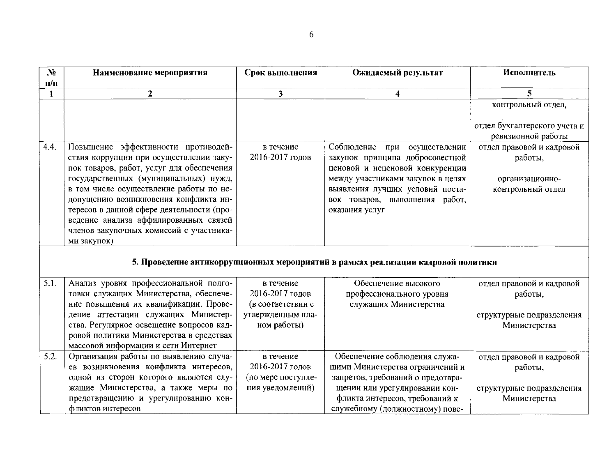| $N_2$     | Наименование мероприятия                  | Срок выполнения         | Ожидаемый результат                                                               | Исполнитель                                                                     |
|-----------|-------------------------------------------|-------------------------|-----------------------------------------------------------------------------------|---------------------------------------------------------------------------------|
| $\Pi/\Pi$ |                                           |                         |                                                                                   |                                                                                 |
| 1         | $\mathbf{2}$                              | $\overline{\mathbf{3}}$ | 4                                                                                 | 5                                                                               |
|           |                                           |                         |                                                                                   | контрольный отдел,                                                              |
| 4.4.      | Повышение эффективности противодей-       | в течение               | Соблюдение при осуществлении                                                      | отдел бухгалтерского учета и<br>ревизионной работы<br>отдел правовой и кадровой |
|           | ствия коррупции при осуществлении заку-   | 2016-2017 годов         | закупок принципа добросовестной                                                   | работы,                                                                         |
|           | пок товаров, работ, услуг для обеспечения |                         | ценовой и неценовой конкуренции                                                   |                                                                                 |
|           | государственных (муниципальных) нужд,     |                         | между участниками закупок в целях                                                 | организационно-                                                                 |
|           | в том числе осуществление работы по не-   |                         | выявления лучших условий поста-                                                   | контрольный отдел                                                               |
|           | допущению возникновения конфликта ин-     |                         | вок товаров, выполнения работ,                                                    |                                                                                 |
|           | тересов в данной сфере деятельности (про- |                         | оказания услуг                                                                    |                                                                                 |
|           | ведение анализа аффилированных связей     |                         |                                                                                   |                                                                                 |
|           | членов закупочных комиссий с участника-   |                         |                                                                                   |                                                                                 |
|           | ми закупок)                               |                         |                                                                                   |                                                                                 |
|           |                                           |                         | 5. Проведение антикоррупционных мероприятий в рамках реализации кадровой политики |                                                                                 |
| 5.1.      | Анализ уровня профессиональной подго-     | в течение               | Обеспечение высокого                                                              | отдел правовой и кадровой                                                       |
|           | товки служащих Министерства, обеспече-    | 2016-2017 годов         | профессионального уровня                                                          | работы,                                                                         |
|           | ние повышения их квалификации. Прове-     | (в соответствии с       | служащих Министерства                                                             |                                                                                 |
|           | дение аттестации служащих Министер-       | утвержденным пла-       |                                                                                   | структурные подразделения                                                       |
|           | ства. Регулярное освещение вопросов кад-  | ном работы)             |                                                                                   | Министерства                                                                    |
|           | ровой политики Министерства в средствах   |                         |                                                                                   |                                                                                 |
|           | массовой информации и сети Интернет       |                         |                                                                                   |                                                                                 |
| 5.2.      | Организация работы по выявлению случа-    | в течение               | Обеспечение соблюдения служа-                                                     | отдел правовой и кадровой                                                       |
|           | ев возникновения конфликта интересов,     | 2016-2017 годов         | щими Министерства ограничений и                                                   | работы,                                                                         |
|           | одной из сторон которого являются слу-    | (по мере поступле-      | запретов, требований о предотвра-                                                 |                                                                                 |
|           | жащие Министерства, а также меры по       | ния уведомлений)        | щении или урегулировании кон-                                                     | структурные подразделения                                                       |
|           | предотвращению и урегулированию кон-      |                         | фликта интересов, требований к                                                    | Министерства                                                                    |
|           | фликтов интересов                         |                         | служебному (должностному) пове-                                                   |                                                                                 |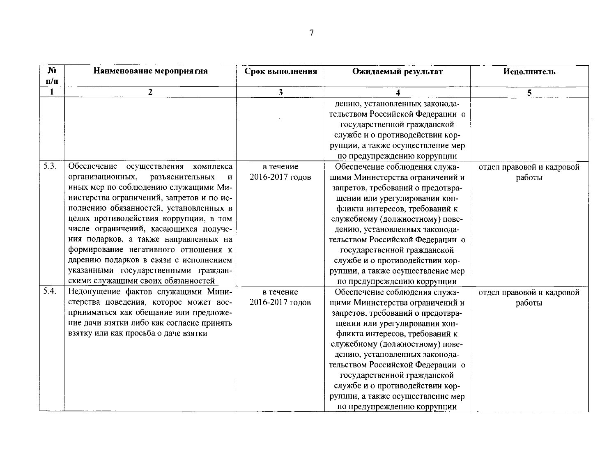| N <sub>2</sub>          | Наименование мероприятия                  | Срок выполнения         | Ожидаемый результат               | Исполнитель               |
|-------------------------|-------------------------------------------|-------------------------|-----------------------------------|---------------------------|
| $\mathbf{n}/\mathbf{n}$ |                                           |                         |                                   |                           |
|                         | 2                                         | $\overline{\mathbf{3}}$ |                                   | 5                         |
|                         |                                           |                         | дению, установленных законода-    |                           |
|                         |                                           |                         | тельством Российской Федерации о  |                           |
|                         |                                           |                         | государственной гражданской       |                           |
|                         |                                           |                         | службе и о противодействии кор-   |                           |
|                         |                                           |                         | рупции, а также осуществление мер |                           |
|                         |                                           |                         | по предупреждению коррупции       |                           |
| 5.3.                    | Обеспечение<br>осуществления<br>комплекса | в течение               | Обеспечение соблюдения служа-     | отдел правовой и кадровой |
|                         | организационных,<br>разъяснительных<br>И  | 2016-2017 годов         | щими Министерства ограничений и   | работы                    |
|                         | иных мер по соблюдению служащими Ми-      |                         | запретов, требований о предотвра- |                           |
|                         | нистерства ограничений, запретов и по ис- |                         | щении или урегулировании кон-     |                           |
|                         | полнению обязанностей, установленных в    |                         | фликта интересов, требований к    |                           |
|                         | целях противодействия коррупции, в том    |                         | служебному (должностному) пове-   |                           |
|                         | числе ограничений, касающихся получе-     |                         | дению, установленных законода-    |                           |
|                         | ния подарков, а также направленных на     |                         | тельством Российской Федерации о  |                           |
|                         | формирование негативного отношения к      |                         | государственной гражданской       |                           |
|                         | дарению подарков в связи с исполнением    |                         | службе и о противодействии кор-   |                           |
|                         | указанными государственными граждан-      |                         | рупции, а также осуществление мер |                           |
|                         | скими служащими своих обязанностей        |                         | по предупреждению коррупции       |                           |
| 5.4.                    | Недопущение фактов служащими Мини-        | в течение               | Обеспечение соблюдения служа-     | отдел правовой и кадровой |
|                         | стерства поведения, которое может вос-    | 2016-2017 годов         | щими Министерства ограничений и   | работы                    |
|                         | приниматься как обещание или предложе-    |                         | запретов, требований о предотвра- |                           |
|                         | ние дачи взятки либо как согласие принять |                         | щении или урегулировании кон-     |                           |
|                         | взятку или как просьба о даче взятки      |                         | фликта интересов, требований к    |                           |
|                         |                                           |                         | служебному (должностному) пове-   |                           |
|                         |                                           |                         | дению, установленных законода-    |                           |
|                         |                                           |                         | тельством Российской Федерации о  |                           |
|                         |                                           |                         | государственной гражданской       |                           |
|                         |                                           |                         | службе и о противодействии кор-   |                           |
|                         |                                           |                         | рупции, а также осуществление мер |                           |
|                         |                                           |                         | по предупреждению коррупции       |                           |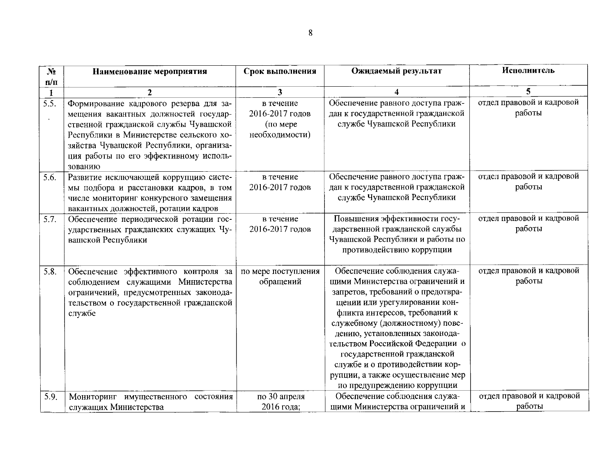| N <sub>2</sub>          | Наименование мероприятия                                                                                                                                                                                                                                            | Срок выполнения                                            | Ожидаемый результат                                                                                                                                                                                                                                                                                                                                                                                                     | Исполнитель                         |
|-------------------------|---------------------------------------------------------------------------------------------------------------------------------------------------------------------------------------------------------------------------------------------------------------------|------------------------------------------------------------|-------------------------------------------------------------------------------------------------------------------------------------------------------------------------------------------------------------------------------------------------------------------------------------------------------------------------------------------------------------------------------------------------------------------------|-------------------------------------|
| $\mathbf{n}/\mathbf{n}$ |                                                                                                                                                                                                                                                                     |                                                            |                                                                                                                                                                                                                                                                                                                                                                                                                         |                                     |
| 1                       | $\mathbf{2}$                                                                                                                                                                                                                                                        | $\mathbf{3}$                                               | 4                                                                                                                                                                                                                                                                                                                                                                                                                       | 5                                   |
| $\overline{5.5}$ .      | Формирование кадрового резерва для за-<br>мещения вакантных должностей государ-<br>ственной гражданской службы Чувашской<br>Республики в Министерстве сельского хо-<br>зяйства Чувашской Республики, организа-<br>ция работы по его эффективному исполь-<br>зованию | в течение<br>2016-2017 годов<br>(по мере<br>необходимости) | Обеспечение равного доступа граж-<br>дан к государственной гражданской<br>службе Чувашской Республики                                                                                                                                                                                                                                                                                                                   | отдел правовой и кадровой<br>работы |
| 5.6.                    | Развитие исключающей коррупцию систе-<br>мы подбора и расстановки кадров, в том<br>числе мониторинг конкурсного замещения<br>вакантных должностей, ротации кадров                                                                                                   | в течение<br>2016-2017 годов                               | Обеспечение равного доступа граж-<br>дан к государственной гражданской<br>службе Чувашской Республики                                                                                                                                                                                                                                                                                                                   | отдел правовой и кадровой<br>работы |
| 5.7.                    | Обеспечение периодической ротации гос-<br>ударственных гражданских служащих Чу-<br>вашской Республики                                                                                                                                                               | в течение<br>2016-2017 годов                               | Повышения эффективности госу-<br>дарственной гражданской службы<br>Чувашской Республики и работы по<br>противодействию коррупции                                                                                                                                                                                                                                                                                        | отдел правовой и кадровой<br>работы |
| 5.8.                    | Обеспечение эффективного контроля за<br>соблюдением служащими Министерства<br>ограничений, предусмотренных законода-<br>тельством о государственной гражданской<br>службе                                                                                           | по мере поступления<br>обращений                           | Обеспечение соблюдения служа-<br>щими Министерства ограничений и<br>запретов, требований о предотвра-<br>щении или урегулировании кон-<br>фликта интересов, требований к<br>служебному (должностному) пове-<br>дению, установленных законода-<br>тельством Российской Федерации о<br>государственной гражданской<br>службе и о противодействии кор-<br>рупции, а также осуществление мер<br>по предупреждению коррупции | отдел правовой и кадровой<br>работы |
| 5.9.                    | Мониторинг имущественного состояния<br>служащих Министерства                                                                                                                                                                                                        | по 30 апреля<br>2016 года;                                 | Обеспечение соблюдения служа-<br>щими Министерства ограничений и                                                                                                                                                                                                                                                                                                                                                        | отдел правовой и кадровой<br>работы |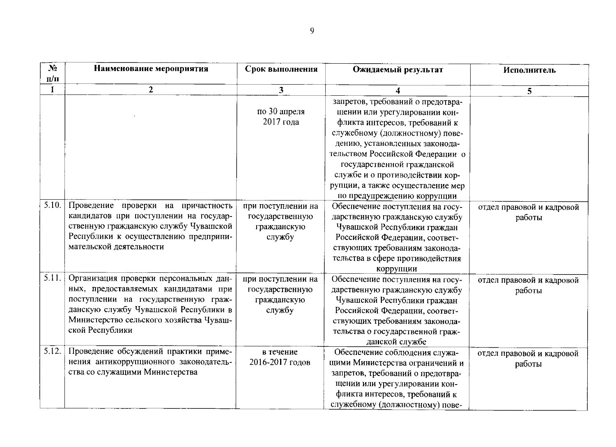| N <sub>2</sub> | Наименование мероприятия                | Срок выполнения    | Ожидаемый результат               | Исполнитель               |
|----------------|-----------------------------------------|--------------------|-----------------------------------|---------------------------|
| $\Pi/\Pi$      |                                         |                    |                                   |                           |
|                | $\mathbf{2}$                            | 3                  |                                   | 5                         |
|                |                                         |                    | запретов, требований о предотвра- |                           |
|                |                                         | по 30 апреля       | щении или урегулировании кон-     |                           |
|                |                                         | 2017 года          | фликта интересов, требований к    |                           |
|                |                                         |                    | служебному (должностному) пове-   |                           |
|                |                                         |                    | дению, установленных законода-    |                           |
|                |                                         |                    | тельством Российской Федерации о  |                           |
|                |                                         |                    | государственной гражданской       |                           |
|                |                                         |                    | службе и о противодействии кор-   |                           |
|                |                                         |                    | рупции, а также осуществление мер |                           |
|                |                                         |                    | по предупреждению коррупции       |                           |
| 5.10.          | Проведение проверки на причастность     | при поступлении на | Обеспечение поступления на госу-  | отдел правовой и кадровой |
|                | кандидатов при поступлении на государ-  | государственную    | дарственную гражданскую службу    | работы                    |
|                | ственную гражданскую службу Чувашской   | гражданскую        | Чувашской Республики граждан      |                           |
|                | Республики к осуществлению предприни-   | службу             | Российской Федерации, соответ-    |                           |
|                | мательской деятельности                 |                    | ствующих требованиям законода-    |                           |
|                |                                         |                    | тельства в сфере противодействия  |                           |
|                |                                         |                    | коррупции                         |                           |
| 5.11.          | Организация проверки персональных дан-  | при поступлении на | Обеспечение поступления на госу-  | отдел правовой и кадровой |
|                | ных, предоставляемых кандидатами при    | государственную    | дарственную гражданскую службу    | работы                    |
|                | поступлении на государственную граж-    | гражданскую        | Чувашской Республики граждан      |                           |
|                | данскую службу Чувашской Республики в   | службу             | Российской Федерации, соответ-    |                           |
|                | Министерство сельского хозяйства Чуваш- |                    | ствующих требованиям законода-    |                           |
|                | ской Республики                         |                    | тельства о государственной граж-  |                           |
|                |                                         |                    | данской службе                    |                           |
| 5.12.          | Проведение обсуждений практики приме-   | в течение          | Обеспечение соблюдения служа-     | отдел правовой и кадровой |
|                | нения антикоррупционного законодатель-  | 2016-2017 годов    | щими Министерства ограничений и   | работы                    |
|                | ства со служащими Министерства          |                    | запретов, требований о предотвра- |                           |
|                |                                         |                    | щении или урегулировании кон-     |                           |
|                |                                         |                    | фликта интересов, требований к    |                           |
|                |                                         |                    | служебному (должностному) пове-   |                           |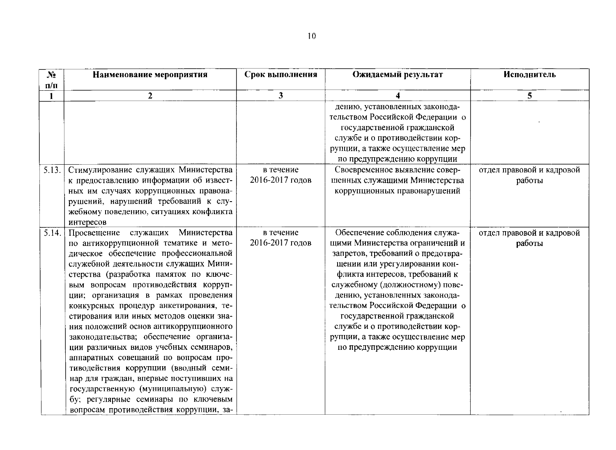| N <sub>2</sub> | Наименование мероприятия                                                                                                                                                                                                                                                                                                                                                                                                                                                                                                                                                                                                                                                                                                                                           | Срок выполнения              | Ожидаемый результат                                                                                                                                                                                                                                                                                                                                                                                                     | Исполнитель                         |
|----------------|--------------------------------------------------------------------------------------------------------------------------------------------------------------------------------------------------------------------------------------------------------------------------------------------------------------------------------------------------------------------------------------------------------------------------------------------------------------------------------------------------------------------------------------------------------------------------------------------------------------------------------------------------------------------------------------------------------------------------------------------------------------------|------------------------------|-------------------------------------------------------------------------------------------------------------------------------------------------------------------------------------------------------------------------------------------------------------------------------------------------------------------------------------------------------------------------------------------------------------------------|-------------------------------------|
| n/n            |                                                                                                                                                                                                                                                                                                                                                                                                                                                                                                                                                                                                                                                                                                                                                                    |                              |                                                                                                                                                                                                                                                                                                                                                                                                                         |                                     |
|                | 2                                                                                                                                                                                                                                                                                                                                                                                                                                                                                                                                                                                                                                                                                                                                                                  | $\overline{\mathbf{3}}$      |                                                                                                                                                                                                                                                                                                                                                                                                                         | 5 <sub>1</sub>                      |
|                |                                                                                                                                                                                                                                                                                                                                                                                                                                                                                                                                                                                                                                                                                                                                                                    |                              | дению, установленных законода-<br>тельством Российской Федерации о<br>государственной гражданской<br>службе и о противодействии кор-<br>рупции, а также осуществление мер<br>по предупреждению коррупции                                                                                                                                                                                                                |                                     |
| 5.13.          | Стимулирование служащих Министерства<br>к предоставлению информации об извест-<br>ных им случаях коррупционных правона-<br>рушений, нарушений требований к слу-<br>жебному поведению, ситуациях конфликта<br>интересов                                                                                                                                                                                                                                                                                                                                                                                                                                                                                                                                             | в течение<br>2016-2017 годов | Своевременное выявление совер-<br>шенных служащими Министерства<br>коррупционных правонарушений                                                                                                                                                                                                                                                                                                                         | отдел правовой и кадровой<br>работы |
| 5.14.          | Просвещение служащих Министерства<br>по антикоррупционной тематике и мето-<br>дическое обеспечение профессиональной<br>служебной деятельности служащих Мини-<br>стерства (разработка памяток по ключе-<br>вым вопросам противодействия корруп-<br>ции; организация в рамках проведения<br>конкурсных процедур анкетирования, те-<br>стирования или иных методов оценки зна-<br>ния положений основ антикоррупционного<br>законодательства; обеспечение организа-<br>ции различных видов учебных семинаров,<br>аппаратных совещаний по вопросам про-<br>тиводействия коррупции (вводный семи-<br>нар для граждан, впервые поступивших на<br>государственную (муниципальную) служ-<br>бу; регулярные семинары по ключевым<br>вопросам противодействия коррупции, за- | в течение<br>2016-2017 годов | Обеспечение соблюдения служа-<br>щими Министерства ограничений и<br>запретов, требований о предотвра-<br>щении или урегулировании кон-<br>фликта интересов, требований к<br>служебному (должностному) пове-<br>дению, установленных законода-<br>тельством Российской Федерации о<br>государственной гражданской<br>службе и о противодействии кор-<br>рупции, а также осуществление мер<br>по предупреждению коррупции | отдел правовой и кадровой<br>работы |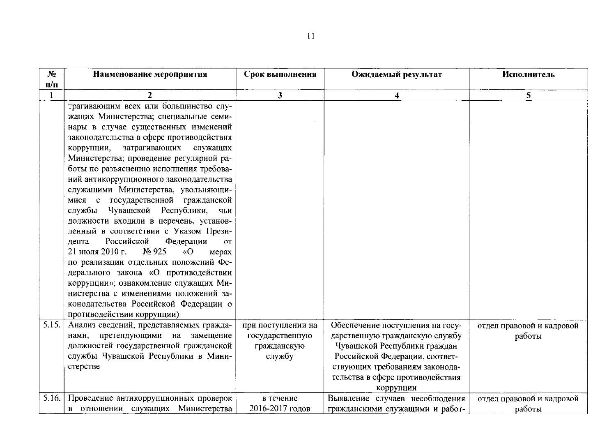| N <sub>2</sub> | Наименование мероприятия                             | Срок выполнения         | Ожидаемый результат              | Исполнитель               |
|----------------|------------------------------------------------------|-------------------------|----------------------------------|---------------------------|
| $\Pi/\Pi$      |                                                      |                         |                                  |                           |
|                | 2                                                    | $\overline{\mathbf{3}}$ | 4                                | 5                         |
|                | трагивающим всех или большинство слу-                |                         |                                  |                           |
|                | жащих Министерства; специальные семи-                |                         |                                  |                           |
|                | нары в случае существенных изменений                 |                         |                                  |                           |
|                | законодательства в сфере противодействия             |                         |                                  |                           |
|                | коррупции,<br>затрагивающих<br>служащих              |                         |                                  |                           |
|                | Министерства; проведение регулярной ра-              |                         |                                  |                           |
|                | боты по разъяснению исполнения требова-              |                         |                                  |                           |
|                | ний антикоррупционного законодательства              |                         |                                  |                           |
|                | служащими Министерства, увольняющи-                  |                         |                                  |                           |
|                | мися с государственной гражданской                   |                         |                                  |                           |
|                | службы Чувашской Республики,<br>чьи                  |                         |                                  |                           |
|                | должности входили в перечень, установ-               |                         |                                  |                           |
|                | ленный в соответствии с Указом Прези-                |                         |                                  |                           |
|                | Российской<br>Федерации<br>дента<br><b>OT</b>        |                         |                                  |                           |
|                | 21 июля 2010 г.<br>N <sub>2</sub> 925<br>«O<br>мерах |                         |                                  |                           |
|                | по реализации отдельных положений Фе-                |                         |                                  |                           |
|                | дерального закона «О противодействии                 |                         |                                  |                           |
|                | коррупции»; ознакомление служащих Ми-                |                         |                                  |                           |
|                | нистерства с изменениями положений за-               |                         |                                  |                           |
|                | конодательства Российской Федерации о                |                         |                                  |                           |
|                | противодействии коррупции)                           |                         |                                  |                           |
| 5.15.          | Анализ сведений, представляемых гражда-              | при поступлении на      | Обеспечение поступления на госу- | отдел правовой и кадровой |
|                | нами, претендующими на замещение                     | государственную         | дарственную гражданскую службу   | работы                    |
|                | должностей государственной гражданской               | гражданскую             | Чувашской Республики граждан     |                           |
|                | службы Чувашской Республики в Мини-                  | службу                  | Российской Федерации, соответ-   |                           |
|                | стерстве                                             |                         | ствующих требованиям законода-   |                           |
|                |                                                      |                         | тельства в сфере противодействия |                           |
|                |                                                      |                         | коррупции                        |                           |
| 5.16.          | Проведение антикоррупционных проверок                | в течение               | Выявление случаев несоблюдения   | отдел правовой и кадровой |
|                | в отношении служащих Министерства                    | 2016-2017 годов         | гражданскими служащими и работ-  | работы                    |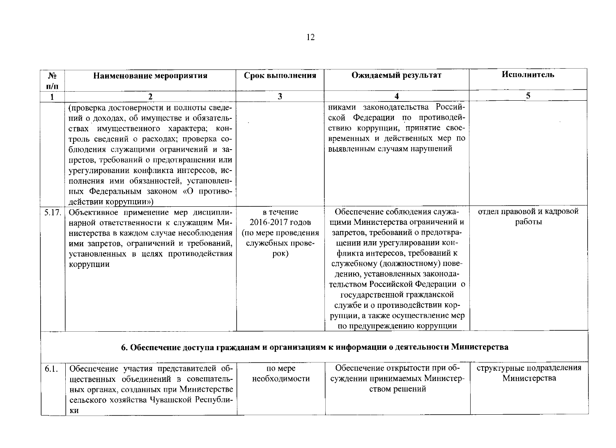| $N_2$     | Наименование мероприятия                                                                                                                                                                                                                                                                                                                                                                                       | Срок выполнения                                                                       | Ожидаемый результат                                                                                                                                                                                                                                                                                                                                                                                                     | Исполнитель                               |
|-----------|----------------------------------------------------------------------------------------------------------------------------------------------------------------------------------------------------------------------------------------------------------------------------------------------------------------------------------------------------------------------------------------------------------------|---------------------------------------------------------------------------------------|-------------------------------------------------------------------------------------------------------------------------------------------------------------------------------------------------------------------------------------------------------------------------------------------------------------------------------------------------------------------------------------------------------------------------|-------------------------------------------|
| $\Pi/\Pi$ |                                                                                                                                                                                                                                                                                                                                                                                                                |                                                                                       |                                                                                                                                                                                                                                                                                                                                                                                                                         |                                           |
| 1         | $\overline{2}$                                                                                                                                                                                                                                                                                                                                                                                                 | $\overline{\mathbf{3}}$                                                               | 4                                                                                                                                                                                                                                                                                                                                                                                                                       | 5                                         |
|           | (проверка достоверности и полноты сведе-<br>ний о доходах, об имуществе и обязатель-<br>ствах имущественного характера; кон-<br>троль сведений о расходах; проверка со-<br>блюдения служащими ограничений и за-<br>претов, требований о предотвращении или<br>урегулировании конфликта интересов, ис-<br>полнения ими обязанностей, установлен-<br>ных Федеральным законом «О противо-<br>действии коррупции») |                                                                                       | никами законодательства Россий-<br>ской Федерации по противодей-<br>ствию коррупции, принятие свое-<br>временных и действенных мер по<br>выявленным случаям нарушений                                                                                                                                                                                                                                                   |                                           |
| 5.17.     | Объективное применение мер дисципли-<br>нарной ответственности к служащим Ми-<br>нистерства в каждом случае несоблюдения<br>ими запретов, ограничений и требований,<br>установленных в целях противодействия<br>коррупции                                                                                                                                                                                      | в течение<br>2016-2017 годов<br>(по мере проведения<br>служебных прове-<br>$p$ OK $)$ | Обеспечение соблюдения служа-<br>щими Министерства ограничений и<br>запретов, требований о предотвра-<br>щении или урегулировании кон-<br>фликта интересов, требований к<br>служебному (должностному) пове-<br>дению, установленных законода-<br>тельством Российской Федерации о<br>государственной гражданской<br>службе и о противодействии кор-<br>рупции, а также осуществление мер<br>по предупреждению коррупции | отдел правовой и кадровой<br>работы       |
|           |                                                                                                                                                                                                                                                                                                                                                                                                                |                                                                                       | 6. Обеспечение доступа гражданам и организациям к информации о деятельности Министерства                                                                                                                                                                                                                                                                                                                                |                                           |
| 6.1.      | Обеспечение участия представителей об-<br>щественных объединений в совещатель-<br>ных органах, созданных при Министерстве<br>сельского хозяйства Чувашской Республи-                                                                                                                                                                                                                                           | по мере<br>необходимости                                                              | Обеспечение открытости при об-<br>суждении принимаемых Министер-<br>ством решений                                                                                                                                                                                                                                                                                                                                       | структурные подразделения<br>Министерства |

КИ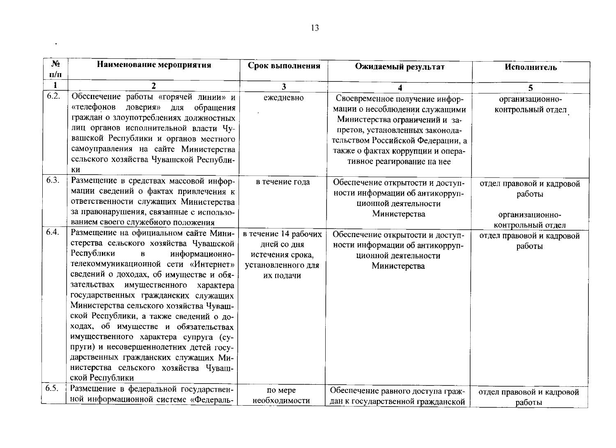| $N_2$        | Наименование мероприятия                                                                                                                                                                                                                                                                                                                                                                                                                                                                                                                                                                                                                                                                                                                                                                                                                        | Срок выполнения                                                                                              | Ожидаемый результат                                                                                                                                                                                                                           | Исполнитель                                                                                                        |
|--------------|-------------------------------------------------------------------------------------------------------------------------------------------------------------------------------------------------------------------------------------------------------------------------------------------------------------------------------------------------------------------------------------------------------------------------------------------------------------------------------------------------------------------------------------------------------------------------------------------------------------------------------------------------------------------------------------------------------------------------------------------------------------------------------------------------------------------------------------------------|--------------------------------------------------------------------------------------------------------------|-----------------------------------------------------------------------------------------------------------------------------------------------------------------------------------------------------------------------------------------------|--------------------------------------------------------------------------------------------------------------------|
| $\Pi/\Pi$    |                                                                                                                                                                                                                                                                                                                                                                                                                                                                                                                                                                                                                                                                                                                                                                                                                                                 |                                                                                                              |                                                                                                                                                                                                                                               |                                                                                                                    |
| $\mathbf{1}$ | 2                                                                                                                                                                                                                                                                                                                                                                                                                                                                                                                                                                                                                                                                                                                                                                                                                                               | 3                                                                                                            |                                                                                                                                                                                                                                               | 5                                                                                                                  |
| 6.2.         | Обеспечение работы «горячей линии» и<br>«телефонов<br>доверия»<br>обращения<br>ДЛЯ<br>граждан о злоупотреблениях должностных<br>лиц органов исполнительной власти Чу-<br>вашской Республики и органов местного<br>самоуправления на сайте Министерства<br>сельского хозяйства Чувашской Республи-                                                                                                                                                                                                                                                                                                                                                                                                                                                                                                                                               | ежедневно                                                                                                    | Своевременное получение инфор-<br>мации о несоблюдении служащими<br>Министерства ограничений и за-<br>претов, установленных законода-<br>тельством Российской Федерации, а<br>также о фактах коррупции и опера-<br>тивное реагирование на нее | организационно-<br>контрольный отдел                                                                               |
| 6.3.<br>6.4. | КИ<br>Размещение в средствах массовой инфор-<br>мации сведений о фактах привлечения к<br>ответственности служащих Министерства<br>за правонарушения, связанные с использо-<br>ванием своего служебного положения<br>Размещение на официальном сайте Мини-<br>стерства сельского хозяйства Чувашской<br>Республики<br>информационно-<br>$\, {\bf B} \,$<br>телекоммуникационной сети «Интернет»<br>сведений о доходах, об имуществе и обя-<br>зательствах имущественного характера<br>государственных гражданских служащих<br>Министерства сельского хозяйства Чуваш-<br>ской Республики, а также сведений о до-<br>ходах, об имуществе и обязательствах<br>имущественного характера супруга (су-<br>пруги) и несовершеннолетних детей госу-<br>дарственных гражданских служащих Ми-<br>нистерства сельского хозяйства Чуваш-<br>ской Республики | в течение года<br>в течение 14 рабочих<br>дней со дня<br>истечения срока,<br>установленного для<br>их подачи | Обеспечение открытости и доступ-<br>ности информации об антикорруп-<br>ционной деятельности<br>Министерства<br>Обеспечение открытости и доступ-<br>ности информации об антикорруп-<br>ционной деятельности<br>Министерства                    | отдел правовой и кадровой<br>работы<br>организационно-<br>контрольный отдел<br>отдел правовой и кадровой<br>работы |
| 6.5.         | Размещение в федеральной государствен-<br>ной информационной системе «Федераль-                                                                                                                                                                                                                                                                                                                                                                                                                                                                                                                                                                                                                                                                                                                                                                 | по мере<br>необходимости                                                                                     | Обеспечение равного доступа граж-<br>дан к государственной гражданской                                                                                                                                                                        | отдел правовой и кадровой<br>работы                                                                                |

 $\bullet$  .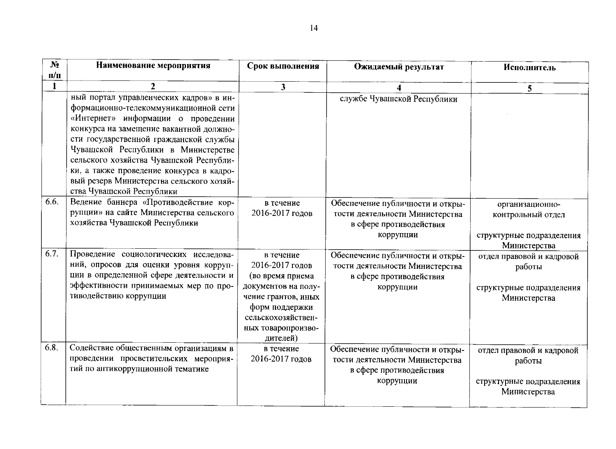| $N_2$        | Наименование мероприятия                 | Срок выполнения         | Ожидаемый результат              | Исполнитель               |
|--------------|------------------------------------------|-------------------------|----------------------------------|---------------------------|
| $\Pi/\Pi$    |                                          |                         |                                  |                           |
| $\mathbf{1}$ | $\mathbf{2}$                             | $\overline{\mathbf{3}}$ |                                  | 5 <sup>5</sup>            |
|              | ный портал управленческих кадров» в ин-  |                         | службе Чувашской Республики      |                           |
|              | формационно-телекоммуникационной сети    |                         |                                  |                           |
|              | «Интернет» информации о проведении       |                         |                                  |                           |
|              | конкурса на замещение вакантной должно-  |                         |                                  |                           |
|              | сти государственной гражданской службы   |                         |                                  |                           |
|              | Чувашской Республики в Министерстве      |                         |                                  |                           |
|              | сельского хозяйства Чувашской Республи-  |                         |                                  |                           |
|              | ки, а также проведение конкурса в кадро- |                         |                                  |                           |
|              | вый резерв Министерства сельского хозяй- |                         |                                  |                           |
|              | ства Чувашской Республики                |                         |                                  |                           |
| 6.6.         | Ведение баннера «Противодействие кор-    | в течение               | Обеспечение публичности и откры- | организационно-           |
|              | рупции» на сайте Министерства сельского  | 2016-2017 годов         | тости деятельности Министерства  | контрольный отдел         |
|              | хозяйства Чувашской Республики           |                         | в сфере противодействия          |                           |
|              |                                          |                         | коррупции                        | структурные подразделения |
|              |                                          |                         |                                  | Министерства              |
| 6.7.         | Проведение социологических исследова-    | в течение               | Обеспечение публичности и откры- | отдел правовой и кадровой |
|              | ний, опросов для оценки уровня корруп-   | 2016-2017 годов         | тости деятельности Министерства  | работы                    |
|              | ции в определенной сфере деятельности и  | (во время приема        | в сфере противодействия          |                           |
|              | эффективности принимаемых мер по про-    | документов на полу-     | коррупции                        | структурные подразделения |
|              | тиводействию коррупции                   | чение грантов, иных     |                                  | Министерства              |
|              |                                          | форм поддержки          |                                  |                           |
|              |                                          | сельскохозяйствен-      |                                  |                           |
|              |                                          | ных товаропроизво-      |                                  |                           |
|              |                                          | дителей)                |                                  |                           |
| 6.8.         | Содействие общественным организациям в   | в течение               | Обеспечение публичности и откры- | отдел правовой и кадровой |
|              | проведении просветительских мероприя-    | 2016-2017 годов         | тости деятельности Министерства  | работы                    |
|              | тий по антикоррупционной тематике        |                         | в сфере противодействия          |                           |
|              |                                          |                         | коррупции                        | структурные подразделения |
|              |                                          |                         |                                  | Министерства              |
|              |                                          |                         |                                  |                           |